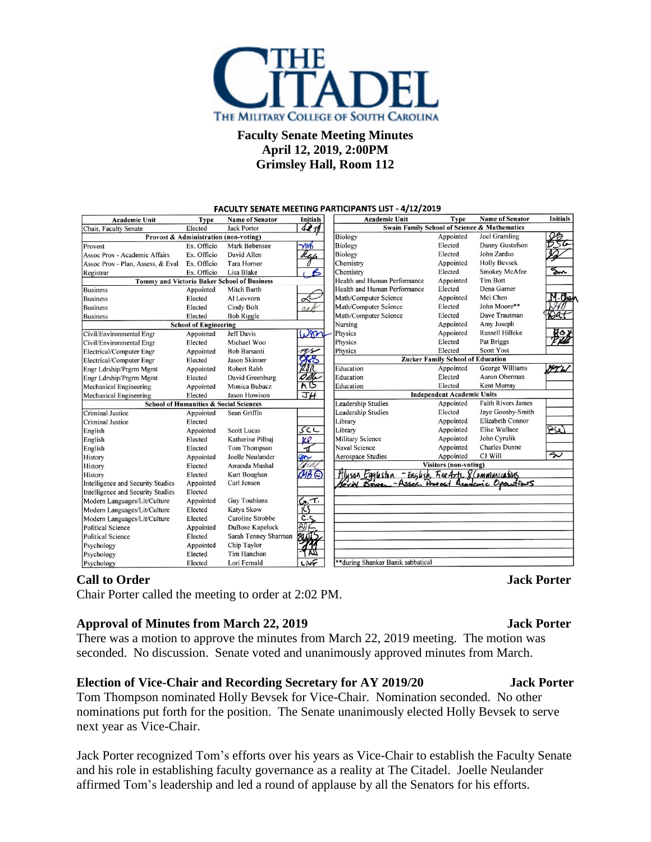

## **Faculty Senate Meeting Minutes April 12, 2019, 2:00PM Grimsley Hall, Room 112**

| 471<br>Swain Family School of Science & Mathematics<br><b>Jack Porter</b><br>Elected<br>Chair, Faculty Senate<br><b>Biology</b><br><b>Joel Gramling</b><br>Appointed<br>Provost & Administration (non-voting)<br>Danny Gustafson<br>Elected<br>Biology<br>Ex. Officio<br>Mark Bebensee<br>$\gamma$ MB<br>John Zardus<br>Elected<br><b>Biology</b><br>Assoc Prov - Academic Affairs<br>Ex. Officio<br>David Allen<br>Ref<br><b>Holly Bevsek</b><br>Chemistry<br>Appointed<br>Ex. Officio<br><b>Tara Hornor</b><br>Sm.<br><b>Smokey McAfee</b><br>Elected<br>$\epsilon$<br>Chemistry<br>Ex. Officio<br>Lisa Blake<br><b>Tim Bott</b><br>Health and Human Performance<br>Tommy and Victoria Baker School of Business<br>Appointed<br>Elected<br>Dena Garner<br>Health and Human Performance<br>Mitch Barth<br>Appointed<br>.Cho<br>Mei Chen<br>Math/Computer Science<br>Appointed<br>Elected<br>Al Lovvorn<br>Math/Computer Science<br>Elected<br>John Moore**<br>Elected<br>Cindy Bolt<br>Math/Computer Science<br>Dave Trautman<br>Elected<br>Elected<br><b>Bob Riggle</b><br>Nursing<br>Amy Joseph<br>Appointed<br><b>School of Engineering</b><br>Russell Hilleke<br>ĸ٥<br>Don<br>Physics<br><b>Jeff Davis</b><br>Appointed<br>Appointed<br>Pat Briggs<br>Physics<br>Elected<br>Elected<br>Michael Woo<br>Elected<br><b>Scott Yost</b><br>Physics<br><b>Bob Barsanti</b><br>Appointed<br>vs<br><b>Zucker Family School of Education</b><br>⋙<br>Jason Skinner<br>Elected<br>George Williams<br>21 N<br>N T. h<br>Education<br>Appointed<br><b>Robert Rabb</b><br>Appointed<br>t She<br>Aaron Oberman<br>Elected<br>Education<br>David Greenburg<br>Elected<br>hΒ<br>Kent Murray<br>Elected<br>Education<br>Monica Bubacz<br>Appointed<br>JH<br><b>Independent Academic Units</b><br>Elected<br>Jason Howison<br><b>Leadership Studies</b><br><b>Faith Rivers James</b><br>Appointed<br><b>School of Humanities &amp; Social Sciences</b><br>Elected<br>Jaye Goosby-Smith<br><b>Leadership Studies</b><br>Appointed<br>Sean Griffin<br>Elizabeth Connor<br>Library<br>Appointed<br>Elected<br>969<br>$SC$ L<br><b>Elise Wallace</b><br>Appointed<br>Library<br><b>Scott Lucas</b><br>Appointed<br>John Cyrulik<br><b>Military Science</b><br>Appointed<br>Katherine Pilhuj<br>Elected<br>KP<br><b>Charles Dunne</b><br><b>Naval Science</b><br>Appointed<br>Tom Thompson<br>Elected<br>-11<br>$\overline{\mathcal{P}}$<br>CJ Will<br>Appointed<br><b>Aerospace Studies</b><br>Joelle Neulander<br>Appointed<br>ЖY<br><b>Visitors (non-voting)</b><br>Amanda Mushal<br>Elected<br>MB ©<br>Hlyson Egyleston - English, File Arts, 8 Communications<br>George Bower - Assoc. Downed Leaderic Oponitions<br>Hluson Eggleston<br>Elected<br>Kurt Boughan<br>Carl Jensen<br>Appointed<br>Elected<br>Guy Toubiana<br>$\mathcal{L}$ .<br>Appointed<br>Elected<br>Katva Skow<br>Caroline Strobbe<br>$c_{\cdot}$<br>Modern Languages/Lit/Culture<br>Elected<br>BIF<br>DuBose Kapeluck<br>Appointed<br>Elected<br>Sarah Tenney Sharman<br>SIN<br>Chip Taylor<br>Appointed<br>Tim Hanchon<br>Elected | <b>FACULIT SENATE INEETING FANTICIPANTS LIST</b><br>$-4/12/2013$ |             |                        |                 |                                   |             |                        |                 |  |  |
|------------------------------------------------------------------------------------------------------------------------------------------------------------------------------------------------------------------------------------------------------------------------------------------------------------------------------------------------------------------------------------------------------------------------------------------------------------------------------------------------------------------------------------------------------------------------------------------------------------------------------------------------------------------------------------------------------------------------------------------------------------------------------------------------------------------------------------------------------------------------------------------------------------------------------------------------------------------------------------------------------------------------------------------------------------------------------------------------------------------------------------------------------------------------------------------------------------------------------------------------------------------------------------------------------------------------------------------------------------------------------------------------------------------------------------------------------------------------------------------------------------------------------------------------------------------------------------------------------------------------------------------------------------------------------------------------------------------------------------------------------------------------------------------------------------------------------------------------------------------------------------------------------------------------------------------------------------------------------------------------------------------------------------------------------------------------------------------------------------------------------------------------------------------------------------------------------------------------------------------------------------------------------------------------------------------------------------------------------------------------------------------------------------------------------------------------------------------------------------------------------------------------------------------------------------------------------------------------------------------------------------------------------------------------------------------------------------------------------------------------------------------------------------------------------------------------------------------------------------------------------------------------------------------------------------------------------------------------------------------------------------------------------------------------------------------------------------------|------------------------------------------------------------------|-------------|------------------------|-----------------|-----------------------------------|-------------|------------------------|-----------------|--|--|
|                                                                                                                                                                                                                                                                                                                                                                                                                                                                                                                                                                                                                                                                                                                                                                                                                                                                                                                                                                                                                                                                                                                                                                                                                                                                                                                                                                                                                                                                                                                                                                                                                                                                                                                                                                                                                                                                                                                                                                                                                                                                                                                                                                                                                                                                                                                                                                                                                                                                                                                                                                                                                                                                                                                                                                                                                                                                                                                                                                                                                                                                                          | <b>Academic Unit</b>                                             | <b>Type</b> | <b>Name of Senator</b> | <b>Initials</b> | <b>Academic Unit</b>              | <b>Type</b> | <b>Name of Senator</b> | <b>Initials</b> |  |  |
|                                                                                                                                                                                                                                                                                                                                                                                                                                                                                                                                                                                                                                                                                                                                                                                                                                                                                                                                                                                                                                                                                                                                                                                                                                                                                                                                                                                                                                                                                                                                                                                                                                                                                                                                                                                                                                                                                                                                                                                                                                                                                                                                                                                                                                                                                                                                                                                                                                                                                                                                                                                                                                                                                                                                                                                                                                                                                                                                                                                                                                                                                          |                                                                  |             |                        |                 |                                   |             |                        |                 |  |  |
|                                                                                                                                                                                                                                                                                                                                                                                                                                                                                                                                                                                                                                                                                                                                                                                                                                                                                                                                                                                                                                                                                                                                                                                                                                                                                                                                                                                                                                                                                                                                                                                                                                                                                                                                                                                                                                                                                                                                                                                                                                                                                                                                                                                                                                                                                                                                                                                                                                                                                                                                                                                                                                                                                                                                                                                                                                                                                                                                                                                                                                                                                          |                                                                  |             |                        |                 |                                   |             |                        |                 |  |  |
|                                                                                                                                                                                                                                                                                                                                                                                                                                                                                                                                                                                                                                                                                                                                                                                                                                                                                                                                                                                                                                                                                                                                                                                                                                                                                                                                                                                                                                                                                                                                                                                                                                                                                                                                                                                                                                                                                                                                                                                                                                                                                                                                                                                                                                                                                                                                                                                                                                                                                                                                                                                                                                                                                                                                                                                                                                                                                                                                                                                                                                                                                          | Provost                                                          |             |                        |                 |                                   |             |                        |                 |  |  |
|                                                                                                                                                                                                                                                                                                                                                                                                                                                                                                                                                                                                                                                                                                                                                                                                                                                                                                                                                                                                                                                                                                                                                                                                                                                                                                                                                                                                                                                                                                                                                                                                                                                                                                                                                                                                                                                                                                                                                                                                                                                                                                                                                                                                                                                                                                                                                                                                                                                                                                                                                                                                                                                                                                                                                                                                                                                                                                                                                                                                                                                                                          |                                                                  |             |                        |                 |                                   |             |                        |                 |  |  |
|                                                                                                                                                                                                                                                                                                                                                                                                                                                                                                                                                                                                                                                                                                                                                                                                                                                                                                                                                                                                                                                                                                                                                                                                                                                                                                                                                                                                                                                                                                                                                                                                                                                                                                                                                                                                                                                                                                                                                                                                                                                                                                                                                                                                                                                                                                                                                                                                                                                                                                                                                                                                                                                                                                                                                                                                                                                                                                                                                                                                                                                                                          | Assoc Prov - Plan, Assess, & Eval                                |             |                        |                 |                                   |             |                        |                 |  |  |
|                                                                                                                                                                                                                                                                                                                                                                                                                                                                                                                                                                                                                                                                                                                                                                                                                                                                                                                                                                                                                                                                                                                                                                                                                                                                                                                                                                                                                                                                                                                                                                                                                                                                                                                                                                                                                                                                                                                                                                                                                                                                                                                                                                                                                                                                                                                                                                                                                                                                                                                                                                                                                                                                                                                                                                                                                                                                                                                                                                                                                                                                                          | Registrar                                                        |             |                        |                 |                                   |             |                        |                 |  |  |
|                                                                                                                                                                                                                                                                                                                                                                                                                                                                                                                                                                                                                                                                                                                                                                                                                                                                                                                                                                                                                                                                                                                                                                                                                                                                                                                                                                                                                                                                                                                                                                                                                                                                                                                                                                                                                                                                                                                                                                                                                                                                                                                                                                                                                                                                                                                                                                                                                                                                                                                                                                                                                                                                                                                                                                                                                                                                                                                                                                                                                                                                                          |                                                                  |             |                        |                 |                                   |             |                        |                 |  |  |
|                                                                                                                                                                                                                                                                                                                                                                                                                                                                                                                                                                                                                                                                                                                                                                                                                                                                                                                                                                                                                                                                                                                                                                                                                                                                                                                                                                                                                                                                                                                                                                                                                                                                                                                                                                                                                                                                                                                                                                                                                                                                                                                                                                                                                                                                                                                                                                                                                                                                                                                                                                                                                                                                                                                                                                                                                                                                                                                                                                                                                                                                                          | <b>Business</b>                                                  |             |                        |                 |                                   |             |                        |                 |  |  |
|                                                                                                                                                                                                                                                                                                                                                                                                                                                                                                                                                                                                                                                                                                                                                                                                                                                                                                                                                                                                                                                                                                                                                                                                                                                                                                                                                                                                                                                                                                                                                                                                                                                                                                                                                                                                                                                                                                                                                                                                                                                                                                                                                                                                                                                                                                                                                                                                                                                                                                                                                                                                                                                                                                                                                                                                                                                                                                                                                                                                                                                                                          | <b>Business</b>                                                  |             |                        |                 |                                   |             |                        |                 |  |  |
|                                                                                                                                                                                                                                                                                                                                                                                                                                                                                                                                                                                                                                                                                                                                                                                                                                                                                                                                                                                                                                                                                                                                                                                                                                                                                                                                                                                                                                                                                                                                                                                                                                                                                                                                                                                                                                                                                                                                                                                                                                                                                                                                                                                                                                                                                                                                                                                                                                                                                                                                                                                                                                                                                                                                                                                                                                                                                                                                                                                                                                                                                          | <b>Business</b>                                                  |             |                        |                 |                                   |             |                        |                 |  |  |
|                                                                                                                                                                                                                                                                                                                                                                                                                                                                                                                                                                                                                                                                                                                                                                                                                                                                                                                                                                                                                                                                                                                                                                                                                                                                                                                                                                                                                                                                                                                                                                                                                                                                                                                                                                                                                                                                                                                                                                                                                                                                                                                                                                                                                                                                                                                                                                                                                                                                                                                                                                                                                                                                                                                                                                                                                                                                                                                                                                                                                                                                                          | <b>Business</b>                                                  |             |                        |                 |                                   |             |                        |                 |  |  |
|                                                                                                                                                                                                                                                                                                                                                                                                                                                                                                                                                                                                                                                                                                                                                                                                                                                                                                                                                                                                                                                                                                                                                                                                                                                                                                                                                                                                                                                                                                                                                                                                                                                                                                                                                                                                                                                                                                                                                                                                                                                                                                                                                                                                                                                                                                                                                                                                                                                                                                                                                                                                                                                                                                                                                                                                                                                                                                                                                                                                                                                                                          |                                                                  |             |                        |                 |                                   |             |                        |                 |  |  |
|                                                                                                                                                                                                                                                                                                                                                                                                                                                                                                                                                                                                                                                                                                                                                                                                                                                                                                                                                                                                                                                                                                                                                                                                                                                                                                                                                                                                                                                                                                                                                                                                                                                                                                                                                                                                                                                                                                                                                                                                                                                                                                                                                                                                                                                                                                                                                                                                                                                                                                                                                                                                                                                                                                                                                                                                                                                                                                                                                                                                                                                                                          | Civil/Environmental Engr                                         |             |                        |                 |                                   |             |                        |                 |  |  |
|                                                                                                                                                                                                                                                                                                                                                                                                                                                                                                                                                                                                                                                                                                                                                                                                                                                                                                                                                                                                                                                                                                                                                                                                                                                                                                                                                                                                                                                                                                                                                                                                                                                                                                                                                                                                                                                                                                                                                                                                                                                                                                                                                                                                                                                                                                                                                                                                                                                                                                                                                                                                                                                                                                                                                                                                                                                                                                                                                                                                                                                                                          | Civil/Environmental Engr                                         |             |                        |                 |                                   |             |                        |                 |  |  |
|                                                                                                                                                                                                                                                                                                                                                                                                                                                                                                                                                                                                                                                                                                                                                                                                                                                                                                                                                                                                                                                                                                                                                                                                                                                                                                                                                                                                                                                                                                                                                                                                                                                                                                                                                                                                                                                                                                                                                                                                                                                                                                                                                                                                                                                                                                                                                                                                                                                                                                                                                                                                                                                                                                                                                                                                                                                                                                                                                                                                                                                                                          | Electrical/Computer Engr                                         |             |                        |                 |                                   |             |                        |                 |  |  |
|                                                                                                                                                                                                                                                                                                                                                                                                                                                                                                                                                                                                                                                                                                                                                                                                                                                                                                                                                                                                                                                                                                                                                                                                                                                                                                                                                                                                                                                                                                                                                                                                                                                                                                                                                                                                                                                                                                                                                                                                                                                                                                                                                                                                                                                                                                                                                                                                                                                                                                                                                                                                                                                                                                                                                                                                                                                                                                                                                                                                                                                                                          | Electrical/Computer Engr                                         |             |                        |                 |                                   |             |                        |                 |  |  |
|                                                                                                                                                                                                                                                                                                                                                                                                                                                                                                                                                                                                                                                                                                                                                                                                                                                                                                                                                                                                                                                                                                                                                                                                                                                                                                                                                                                                                                                                                                                                                                                                                                                                                                                                                                                                                                                                                                                                                                                                                                                                                                                                                                                                                                                                                                                                                                                                                                                                                                                                                                                                                                                                                                                                                                                                                                                                                                                                                                                                                                                                                          | Engr Ldrship/Prgrm Mgmt                                          |             |                        |                 |                                   |             |                        |                 |  |  |
|                                                                                                                                                                                                                                                                                                                                                                                                                                                                                                                                                                                                                                                                                                                                                                                                                                                                                                                                                                                                                                                                                                                                                                                                                                                                                                                                                                                                                                                                                                                                                                                                                                                                                                                                                                                                                                                                                                                                                                                                                                                                                                                                                                                                                                                                                                                                                                                                                                                                                                                                                                                                                                                                                                                                                                                                                                                                                                                                                                                                                                                                                          | Engr Ldrship/Prgrm Mgmt                                          |             |                        |                 |                                   |             |                        |                 |  |  |
|                                                                                                                                                                                                                                                                                                                                                                                                                                                                                                                                                                                                                                                                                                                                                                                                                                                                                                                                                                                                                                                                                                                                                                                                                                                                                                                                                                                                                                                                                                                                                                                                                                                                                                                                                                                                                                                                                                                                                                                                                                                                                                                                                                                                                                                                                                                                                                                                                                                                                                                                                                                                                                                                                                                                                                                                                                                                                                                                                                                                                                                                                          | <b>Mechanical Engineering</b>                                    |             |                        |                 |                                   |             |                        |                 |  |  |
|                                                                                                                                                                                                                                                                                                                                                                                                                                                                                                                                                                                                                                                                                                                                                                                                                                                                                                                                                                                                                                                                                                                                                                                                                                                                                                                                                                                                                                                                                                                                                                                                                                                                                                                                                                                                                                                                                                                                                                                                                                                                                                                                                                                                                                                                                                                                                                                                                                                                                                                                                                                                                                                                                                                                                                                                                                                                                                                                                                                                                                                                                          | <b>Mechanical Engineering</b>                                    |             |                        |                 |                                   |             |                        |                 |  |  |
|                                                                                                                                                                                                                                                                                                                                                                                                                                                                                                                                                                                                                                                                                                                                                                                                                                                                                                                                                                                                                                                                                                                                                                                                                                                                                                                                                                                                                                                                                                                                                                                                                                                                                                                                                                                                                                                                                                                                                                                                                                                                                                                                                                                                                                                                                                                                                                                                                                                                                                                                                                                                                                                                                                                                                                                                                                                                                                                                                                                                                                                                                          |                                                                  |             |                        |                 |                                   |             |                        |                 |  |  |
|                                                                                                                                                                                                                                                                                                                                                                                                                                                                                                                                                                                                                                                                                                                                                                                                                                                                                                                                                                                                                                                                                                                                                                                                                                                                                                                                                                                                                                                                                                                                                                                                                                                                                                                                                                                                                                                                                                                                                                                                                                                                                                                                                                                                                                                                                                                                                                                                                                                                                                                                                                                                                                                                                                                                                                                                                                                                                                                                                                                                                                                                                          | <b>Criminal Justice</b>                                          |             |                        |                 |                                   |             |                        |                 |  |  |
|                                                                                                                                                                                                                                                                                                                                                                                                                                                                                                                                                                                                                                                                                                                                                                                                                                                                                                                                                                                                                                                                                                                                                                                                                                                                                                                                                                                                                                                                                                                                                                                                                                                                                                                                                                                                                                                                                                                                                                                                                                                                                                                                                                                                                                                                                                                                                                                                                                                                                                                                                                                                                                                                                                                                                                                                                                                                                                                                                                                                                                                                                          | <b>Criminal Justice</b>                                          |             |                        |                 |                                   |             |                        |                 |  |  |
|                                                                                                                                                                                                                                                                                                                                                                                                                                                                                                                                                                                                                                                                                                                                                                                                                                                                                                                                                                                                                                                                                                                                                                                                                                                                                                                                                                                                                                                                                                                                                                                                                                                                                                                                                                                                                                                                                                                                                                                                                                                                                                                                                                                                                                                                                                                                                                                                                                                                                                                                                                                                                                                                                                                                                                                                                                                                                                                                                                                                                                                                                          | English                                                          |             |                        |                 |                                   |             |                        |                 |  |  |
|                                                                                                                                                                                                                                                                                                                                                                                                                                                                                                                                                                                                                                                                                                                                                                                                                                                                                                                                                                                                                                                                                                                                                                                                                                                                                                                                                                                                                                                                                                                                                                                                                                                                                                                                                                                                                                                                                                                                                                                                                                                                                                                                                                                                                                                                                                                                                                                                                                                                                                                                                                                                                                                                                                                                                                                                                                                                                                                                                                                                                                                                                          | English                                                          |             |                        |                 |                                   |             |                        |                 |  |  |
|                                                                                                                                                                                                                                                                                                                                                                                                                                                                                                                                                                                                                                                                                                                                                                                                                                                                                                                                                                                                                                                                                                                                                                                                                                                                                                                                                                                                                                                                                                                                                                                                                                                                                                                                                                                                                                                                                                                                                                                                                                                                                                                                                                                                                                                                                                                                                                                                                                                                                                                                                                                                                                                                                                                                                                                                                                                                                                                                                                                                                                                                                          | English                                                          |             |                        |                 |                                   |             |                        |                 |  |  |
|                                                                                                                                                                                                                                                                                                                                                                                                                                                                                                                                                                                                                                                                                                                                                                                                                                                                                                                                                                                                                                                                                                                                                                                                                                                                                                                                                                                                                                                                                                                                                                                                                                                                                                                                                                                                                                                                                                                                                                                                                                                                                                                                                                                                                                                                                                                                                                                                                                                                                                                                                                                                                                                                                                                                                                                                                                                                                                                                                                                                                                                                                          | History                                                          |             |                        |                 |                                   |             |                        |                 |  |  |
|                                                                                                                                                                                                                                                                                                                                                                                                                                                                                                                                                                                                                                                                                                                                                                                                                                                                                                                                                                                                                                                                                                                                                                                                                                                                                                                                                                                                                                                                                                                                                                                                                                                                                                                                                                                                                                                                                                                                                                                                                                                                                                                                                                                                                                                                                                                                                                                                                                                                                                                                                                                                                                                                                                                                                                                                                                                                                                                                                                                                                                                                                          | History                                                          |             |                        |                 |                                   |             |                        |                 |  |  |
|                                                                                                                                                                                                                                                                                                                                                                                                                                                                                                                                                                                                                                                                                                                                                                                                                                                                                                                                                                                                                                                                                                                                                                                                                                                                                                                                                                                                                                                                                                                                                                                                                                                                                                                                                                                                                                                                                                                                                                                                                                                                                                                                                                                                                                                                                                                                                                                                                                                                                                                                                                                                                                                                                                                                                                                                                                                                                                                                                                                                                                                                                          | History                                                          |             |                        |                 |                                   |             |                        |                 |  |  |
|                                                                                                                                                                                                                                                                                                                                                                                                                                                                                                                                                                                                                                                                                                                                                                                                                                                                                                                                                                                                                                                                                                                                                                                                                                                                                                                                                                                                                                                                                                                                                                                                                                                                                                                                                                                                                                                                                                                                                                                                                                                                                                                                                                                                                                                                                                                                                                                                                                                                                                                                                                                                                                                                                                                                                                                                                                                                                                                                                                                                                                                                                          | <b>Intelligence and Security Studies</b>                         |             |                        |                 |                                   |             |                        |                 |  |  |
|                                                                                                                                                                                                                                                                                                                                                                                                                                                                                                                                                                                                                                                                                                                                                                                                                                                                                                                                                                                                                                                                                                                                                                                                                                                                                                                                                                                                                                                                                                                                                                                                                                                                                                                                                                                                                                                                                                                                                                                                                                                                                                                                                                                                                                                                                                                                                                                                                                                                                                                                                                                                                                                                                                                                                                                                                                                                                                                                                                                                                                                                                          | Intelligence and Security Studies                                |             |                        |                 |                                   |             |                        |                 |  |  |
|                                                                                                                                                                                                                                                                                                                                                                                                                                                                                                                                                                                                                                                                                                                                                                                                                                                                                                                                                                                                                                                                                                                                                                                                                                                                                                                                                                                                                                                                                                                                                                                                                                                                                                                                                                                                                                                                                                                                                                                                                                                                                                                                                                                                                                                                                                                                                                                                                                                                                                                                                                                                                                                                                                                                                                                                                                                                                                                                                                                                                                                                                          | Modern Languages/Lit/Culture                                     |             |                        |                 |                                   |             |                        |                 |  |  |
|                                                                                                                                                                                                                                                                                                                                                                                                                                                                                                                                                                                                                                                                                                                                                                                                                                                                                                                                                                                                                                                                                                                                                                                                                                                                                                                                                                                                                                                                                                                                                                                                                                                                                                                                                                                                                                                                                                                                                                                                                                                                                                                                                                                                                                                                                                                                                                                                                                                                                                                                                                                                                                                                                                                                                                                                                                                                                                                                                                                                                                                                                          | Modern Languages/Lit/Culture                                     |             |                        |                 |                                   |             |                        |                 |  |  |
|                                                                                                                                                                                                                                                                                                                                                                                                                                                                                                                                                                                                                                                                                                                                                                                                                                                                                                                                                                                                                                                                                                                                                                                                                                                                                                                                                                                                                                                                                                                                                                                                                                                                                                                                                                                                                                                                                                                                                                                                                                                                                                                                                                                                                                                                                                                                                                                                                                                                                                                                                                                                                                                                                                                                                                                                                                                                                                                                                                                                                                                                                          |                                                                  |             |                        |                 |                                   |             |                        |                 |  |  |
|                                                                                                                                                                                                                                                                                                                                                                                                                                                                                                                                                                                                                                                                                                                                                                                                                                                                                                                                                                                                                                                                                                                                                                                                                                                                                                                                                                                                                                                                                                                                                                                                                                                                                                                                                                                                                                                                                                                                                                                                                                                                                                                                                                                                                                                                                                                                                                                                                                                                                                                                                                                                                                                                                                                                                                                                                                                                                                                                                                                                                                                                                          | <b>Political Science</b>                                         |             |                        |                 |                                   |             |                        |                 |  |  |
|                                                                                                                                                                                                                                                                                                                                                                                                                                                                                                                                                                                                                                                                                                                                                                                                                                                                                                                                                                                                                                                                                                                                                                                                                                                                                                                                                                                                                                                                                                                                                                                                                                                                                                                                                                                                                                                                                                                                                                                                                                                                                                                                                                                                                                                                                                                                                                                                                                                                                                                                                                                                                                                                                                                                                                                                                                                                                                                                                                                                                                                                                          | <b>Political Science</b>                                         |             |                        |                 |                                   |             |                        |                 |  |  |
|                                                                                                                                                                                                                                                                                                                                                                                                                                                                                                                                                                                                                                                                                                                                                                                                                                                                                                                                                                                                                                                                                                                                                                                                                                                                                                                                                                                                                                                                                                                                                                                                                                                                                                                                                                                                                                                                                                                                                                                                                                                                                                                                                                                                                                                                                                                                                                                                                                                                                                                                                                                                                                                                                                                                                                                                                                                                                                                                                                                                                                                                                          | Psychology                                                       |             |                        |                 |                                   |             |                        |                 |  |  |
|                                                                                                                                                                                                                                                                                                                                                                                                                                                                                                                                                                                                                                                                                                                                                                                                                                                                                                                                                                                                                                                                                                                                                                                                                                                                                                                                                                                                                                                                                                                                                                                                                                                                                                                                                                                                                                                                                                                                                                                                                                                                                                                                                                                                                                                                                                                                                                                                                                                                                                                                                                                                                                                                                                                                                                                                                                                                                                                                                                                                                                                                                          | Psychology                                                       |             |                        |                 |                                   |             |                        |                 |  |  |
|                                                                                                                                                                                                                                                                                                                                                                                                                                                                                                                                                                                                                                                                                                                                                                                                                                                                                                                                                                                                                                                                                                                                                                                                                                                                                                                                                                                                                                                                                                                                                                                                                                                                                                                                                                                                                                                                                                                                                                                                                                                                                                                                                                                                                                                                                                                                                                                                                                                                                                                                                                                                                                                                                                                                                                                                                                                                                                                                                                                                                                                                                          | Psychology                                                       | Elected     | Lori Fernald           | LNF             | **during Shankar Banik sabbatical |             |                        |                 |  |  |

### **FACULTY CENATE MEETING BARTICIPANTS LIST A/12/2010**

## **Call to Order Jack Porter**

Chair Porter called the meeting to order at 2:02 PM.

## **Approval of Minutes from March 22, 2019 Jack Porter**

There was a motion to approve the minutes from March 22, 2019 meeting. The motion was seconded. No discussion. Senate voted and unanimously approved minutes from March.

## **Election of Vice-Chair and Recording Secretary for AY 2019/20 Jack Porter**

Tom Thompson nominated Holly Bevsek for Vice-Chair. Nomination seconded. No other nominations put forth for the position. The Senate unanimously elected Holly Bevsek to serve next year as Vice-Chair.

Jack Porter recognized Tom's efforts over his years as Vice-Chair to establish the Faculty Senate and his role in establishing faculty governance as a reality at The Citadel. Joelle Neulander affirmed Tom's leadership and led a round of applause by all the Senators for his efforts.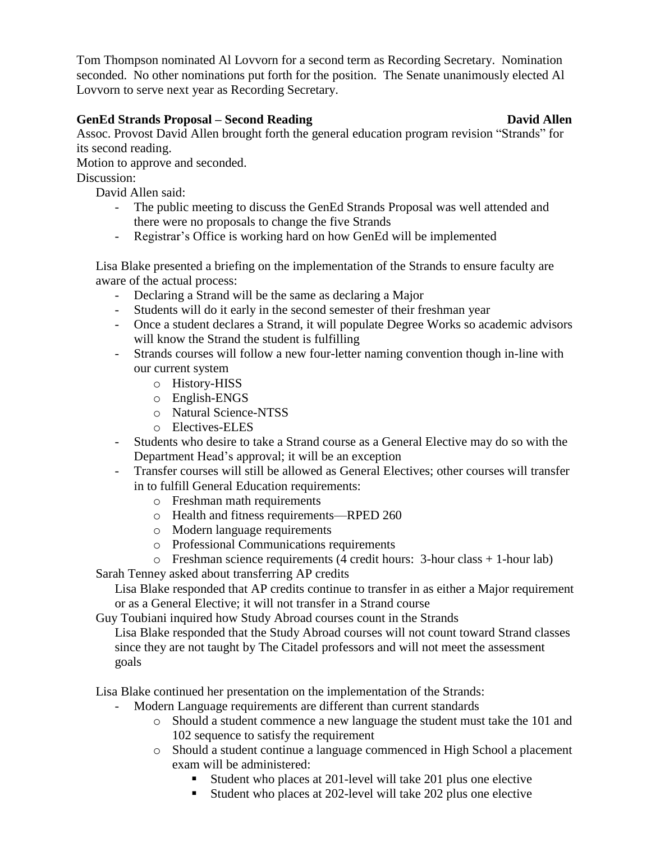Tom Thompson nominated Al Lovvorn for a second term as Recording Secretary. Nomination seconded. No other nominations put forth for the position. The Senate unanimously elected Al Lovvorn to serve next year as Recording Secretary.

## **GenEd Strands Proposal – Second Reading David Allen**

Assoc. Provost David Allen brought forth the general education program revision "Strands" for its second reading.

Motion to approve and seconded.

Discussion:

David Allen said:

- The public meeting to discuss the GenEd Strands Proposal was well attended and there were no proposals to change the five Strands
- Registrar's Office is working hard on how GenEd will be implemented

Lisa Blake presented a briefing on the implementation of the Strands to ensure faculty are aware of the actual process:

- Declaring a Strand will be the same as declaring a Major
- Students will do it early in the second semester of their freshman year
- Once a student declares a Strand, it will populate Degree Works so academic advisors will know the Strand the student is fulfilling
- Strands courses will follow a new four-letter naming convention though in-line with our current system
	- o History-HISS
	- o English-ENGS
	- o Natural Science-NTSS
	- o Electives-ELES
- Students who desire to take a Strand course as a General Elective may do so with the Department Head's approval; it will be an exception
- Transfer courses will still be allowed as General Electives; other courses will transfer in to fulfill General Education requirements:
	- o Freshman math requirements
	- o Health and fitness requirements—RPED 260
	- o Modern language requirements
	- o Professional Communications requirements
- o Freshman science requirements (4 credit hours: 3-hour class + 1-hour lab)

Sarah Tenney asked about transferring AP credits

Lisa Blake responded that AP credits continue to transfer in as either a Major requirement or as a General Elective; it will not transfer in a Strand course

Guy Toubiani inquired how Study Abroad courses count in the Strands

Lisa Blake responded that the Study Abroad courses will not count toward Strand classes since they are not taught by The Citadel professors and will not meet the assessment goals

Lisa Blake continued her presentation on the implementation of the Strands:

- Modern Language requirements are different than current standards
	- o Should a student commence a new language the student must take the 101 and 102 sequence to satisfy the requirement
	- o Should a student continue a language commenced in High School a placement exam will be administered:
		- Student who places at 201-level will take 201 plus one elective
		- Student who places at 202-level will take 202 plus one elective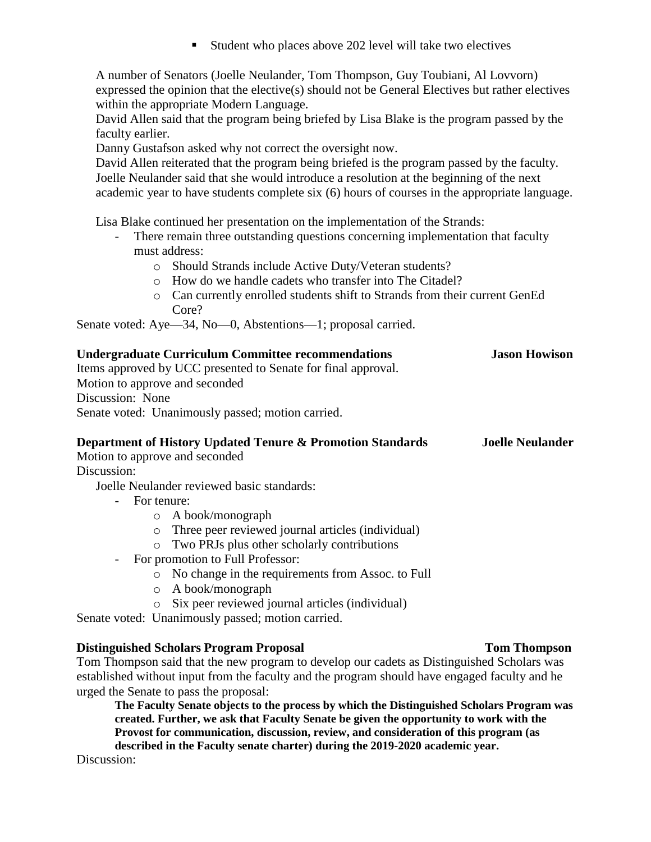Student who places above 202 level will take two electives

A number of Senators (Joelle Neulander, Tom Thompson, Guy Toubiani, Al Lovvorn) expressed the opinion that the elective(s) should not be General Electives but rather electives within the appropriate Modern Language.

David Allen said that the program being briefed by Lisa Blake is the program passed by the faculty earlier.

Danny Gustafson asked why not correct the oversight now.

David Allen reiterated that the program being briefed is the program passed by the faculty. Joelle Neulander said that she would introduce a resolution at the beginning of the next academic year to have students complete six (6) hours of courses in the appropriate language.

Lisa Blake continued her presentation on the implementation of the Strands:

- There remain three outstanding questions concerning implementation that faculty must address:
	- o Should Strands include Active Duty/Veteran students?
	- o How do we handle cadets who transfer into The Citadel?
	- o Can currently enrolled students shift to Strands from their current GenEd Core?

Senate voted: Aye—34, No—0, Abstentions—1; proposal carried.

| <b>Undergraduate Curriculum Committee recommendations</b><br>Items approved by UCC presented to Senate for final approval. | <b>Jason Howison</b>    |
|----------------------------------------------------------------------------------------------------------------------------|-------------------------|
| Motion to approve and seconded                                                                                             |                         |
| Discussion: None                                                                                                           |                         |
| Senate voted: Unanimously passed; motion carried.                                                                          |                         |
| Department of History Updated Tenure & Promotion Standards                                                                 | <b>Joelle Neulander</b> |
| Motion to approve and seconded                                                                                             |                         |
| Discussion <sup>.</sup>                                                                                                    |                         |

Joelle Neulander reviewed basic standards:

- For tenure:
	- o A book/monograph
	- o Three peer reviewed journal articles (individual)
	- o Two PRJs plus other scholarly contributions
- For promotion to Full Professor:
	- o No change in the requirements from Assoc. to Full
	- o A book/monograph
	- o Six peer reviewed journal articles (individual)

Senate voted: Unanimously passed; motion carried.

## **Distinguished Scholars Program Proposal Tom Thompson**

Tom Thompson said that the new program to develop our cadets as Distinguished Scholars was established without input from the faculty and the program should have engaged faculty and he urged the Senate to pass the proposal:

**The Faculty Senate objects to the process by which the Distinguished Scholars Program was created. Further, we ask that Faculty Senate be given the opportunity to work with the Provost for communication, discussion, review, and consideration of this program (as described in the Faculty senate charter) during the 2019-2020 academic year.**

Discussion: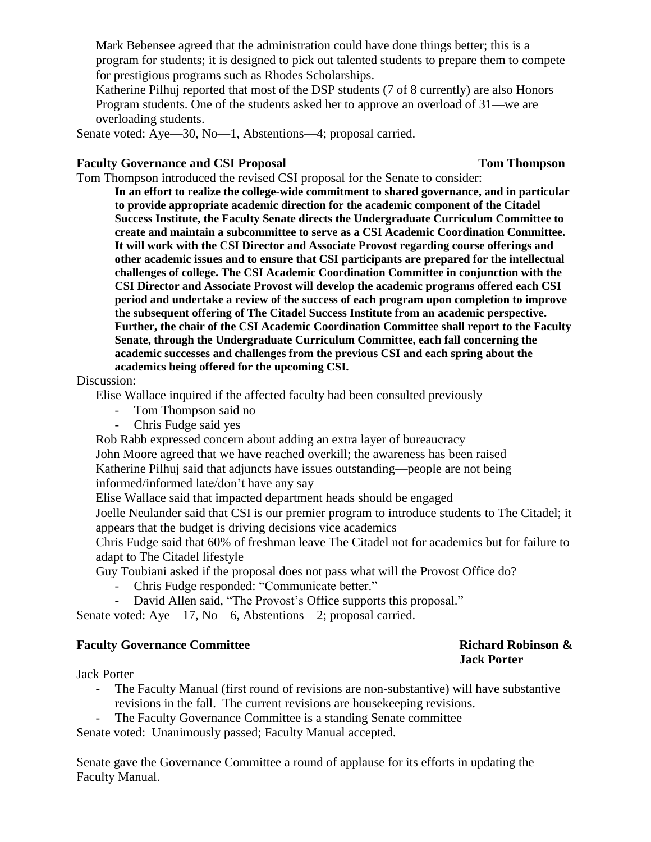Mark Bebensee agreed that the administration could have done things better; this is a program for students; it is designed to pick out talented students to prepare them to compete for prestigious programs such as Rhodes Scholarships.

Katherine Pilhuj reported that most of the DSP students (7 of 8 currently) are also Honors Program students. One of the students asked her to approve an overload of 31—we are overloading students.

Senate voted: Aye—30, No—1, Abstentions—4; proposal carried.

## **Faculty Governance and CSI Proposal Tom Thompson**

Tom Thompson introduced the revised CSI proposal for the Senate to consider:

**In an effort to realize the college-wide commitment to shared governance, and in particular to provide appropriate academic direction for the academic component of the Citadel Success Institute, the Faculty Senate directs the Undergraduate Curriculum Committee to create and maintain a subcommittee to serve as a CSI Academic Coordination Committee. It will work with the CSI Director and Associate Provost regarding course offerings and other academic issues and to ensure that CSI participants are prepared for the intellectual challenges of college. The CSI Academic Coordination Committee in conjunction with the CSI Director and Associate Provost will develop the academic programs offered each CSI period and undertake a review of the success of each program upon completion to improve the subsequent offering of The Citadel Success Institute from an academic perspective. Further, the chair of the CSI Academic Coordination Committee shall report to the Faculty Senate, through the Undergraduate Curriculum Committee, each fall concerning the academic successes and challenges from the previous CSI and each spring about the academics being offered for the upcoming CSI.** 

Discussion:

Elise Wallace inquired if the affected faculty had been consulted previously

- Tom Thompson said no
- Chris Fudge said yes

Rob Rabb expressed concern about adding an extra layer of bureaucracy

John Moore agreed that we have reached overkill; the awareness has been raised Katherine Pilhuj said that adjuncts have issues outstanding—people are not being informed/informed late/don't have any say

Elise Wallace said that impacted department heads should be engaged

Joelle Neulander said that CSI is our premier program to introduce students to The Citadel; it appears that the budget is driving decisions vice academics

Chris Fudge said that 60% of freshman leave The Citadel not for academics but for failure to adapt to The Citadel lifestyle

Guy Toubiani asked if the proposal does not pass what will the Provost Office do?

- Chris Fudge responded: "Communicate better."
- David Allen said, "The Provost's Office supports this proposal."

Senate voted: Aye—17, No—6, Abstentions—2; proposal carried.

## **Faculty Governance Committee Richard Robinson &**

# **Jack Porter**

Jack Porter

- The Faculty Manual (first round of revisions are non-substantive) will have substantive revisions in the fall. The current revisions are housekeeping revisions.
- The Faculty Governance Committee is a standing Senate committee

Senate voted: Unanimously passed; Faculty Manual accepted.

Senate gave the Governance Committee a round of applause for its efforts in updating the Faculty Manual.